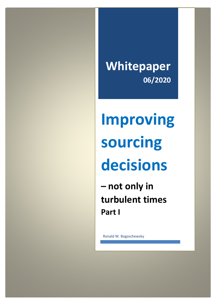**Whitepaper 06/2020**

# **Improving sourcing decisions**

**– not only in turbulent times Part I**

Ronald W. Bogaschewsky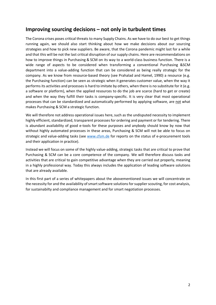## **Improving sourcing decisions – not only in turbulent times**

The Corona crises poses critical threats to many Supply Chains. As we have to do our best to get things running again, we should also start thinking about how we make decisions about our sourcing strategies and how to pick new suppliers. Be aware, that the Corona pandemic might last for a while and that this will be not the last critical disruption of our supply chains. Here are recommendations on how to improve things in Purchasing & SCM on its way to a world-class business function. There is a wide range of aspects to be considered when transforming a conventional Purchasing &SCM department into a value-adding function that can be considered as being really strategic for the company. As we know from resource-based theory (see Prahalad and Hamel, 1990) a resource (e.g. the Purchasing function) can be seen as strategic when it generates customer value, when the way it performs its activities and processes is hard to imitate by others, when there is no substitute for it (e.g. a software or platform), when the applied resources to do the job are scarce (hard to get or create) and when the way they fulfill their tasks is company-specific. It is very clear that most operational processes that can be standardized and automatically performed by applying software, are not what makes Purchasing & SCM a strategic function.

We will therefore not address operational issues here, such as the undisputed necessity to implement highly efficient, standardized, transparent processes for ordering and payment or for tendering. There is abundant availability of good e-tools for these purposes and anybody should know by now that without highly automated processes in these areas, Purchasing & SCM will not be able to focus on strategic and value-adding tasks (see [www.cfsm.de](http://www.cfsm.de/) for reports on the status of e-procurement tools and their application in practice).

Instead we will focus on some of the highly value-adding, strategic tasks that are critical to prove that Purchasing & SCM can be a core competence of the company. We will therefore discuss tasks and activities that are critical to gain competitive advantage when they are carried out properly, meaning in a highly professional way. Today this always includes the application of leading software solutions that are already available.

In this first part of a series of whitepapers about the abovementioned issues we will concentrate on the necessity for and the availability of smart software solutions for supplier scouting, for cost analysis, for sustainabilty and compliance management and for smart negotiation processes.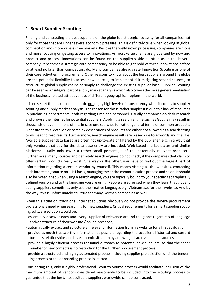#### **1. Smart Supplier Scouting**

Finding and contracting the best suppliers on the globe is a strategic necessity for all companies, not only for those that are under severe economic pressure. This is definitely true when looking at global competition and (more or less) free markets. Besides the well-known price issue, companies are more and more focusing on getting access to innovations. As most value chains are globalized by now and product and process innovations can be found on the supplier's side as often as in the buyer's company, it becomes a strategic core competency to be able to get hold of these innovations before or at least no later than competitors do. Many companies already rate Innovation Scouting as one of their core activities in procurement. Other reasons to know about the best suppliers around the globe are the potential flexibility to access new sources, to implement risk mitigating second sources, to restructure global supply chains or simply to challenge the existing supplier base. Supplier Scouting can be seen as an integral part of supply market analysis which also covers the more general evaluation of the business-related attractiveness of different geographical regions in the world.

It is no secret that most companies do not enjoy high levels of transparency when it comes to supplier scouting and supply market analysis. The reason for this is rather simple: It is due to a lack of resources in purchasing departments, both regarding time and personnel. Usually companies do desk research and browse the Internet for potential suppliers. Applying a search engine such as Google may result in thousands or even millions of hits in case one searches for rather general terms or common products. Opposite to this, detailed or complex descriptions of products are either not allowed as a search string or will lead to zero results. Furthermore, search engine results are biased due to adwords and the like. Available supplier data bases are often not up-to-date or filtered by the publisher, e.g. in a way that only vendors that pay for the data base entry are included. Web-based market places and similar platforms usually only cover a rather small percentage of the potentially relevant producers. Furthermore, many sources and definitely search engines do not check, if the companies that claim to offer certain products really exist. One way or the other, you have to find out the largest part of information regarding a certain vendor by yourself. This means visiting all the websites, contacting each interesting source on a 1:1 basis, managing the entire communication process and so on. It should also be noted, that when using a search engine, you are typically bound to your specific geographically defined version and to the language you are using. People are surprised when they learn that globally acting suppliers sometimes only use their native language, e.g. Vietnamese, for their website. And by the way, this is unfortunately still true for many German companies as well.

Given this situation, traditional internet solutions obviously do not provide the service procurement professionals need when searching for new suppliers. Critical requirements for a smart supplier scouting software solution would be:

- essentially discover each and every supplier of relevance around the globe regardless of language and/or structure of their website / online presence,
- automatically extract and structure all relevant information from his website for a first evaluation,
- provide as much trustworthy information as possible regarding the supplier's historical and current business relationships and his economic situation by analyzing all accessible data sources,
- provide a highly efficient process for initial outreach to potential new suppliers, so that the sheer number of new contacts is no restriction for the further procurement process,
- provide a structured and highly automated process including supplier pre-selection until the tendering process or the onboarding process is started.

Considering this, only a highly professional Scout-to-Source process would facilitate inclusion of the maximum amount of vendors considered reasonable to be included into the scouting process to guarantee that the best/most suitable suppliers worldwide can be contracted.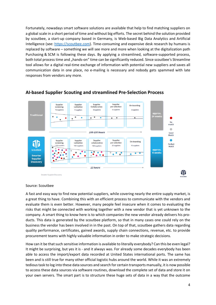Fortunately, nowadays smart software solutions are available that help to find matching suppliers on a global scale in a short period of time and without big efforts. The secret behind the solution provided by scoutbee, a start-up company based in Germany, is Web-based Big Data Analytics and Artificial Intelligence (see: [https://scoutbee.com\)](https://scoutbee.com/). Time-consuming and expensive desk research by humans is replaced by software – something we will see more and more when looking at the digitalization path Purchasing & SCM is following these days. By applying a streamlined, software-supported process, both total process time and "hands-on" time can be significantly reduced. Since scoutbee's Streamline tool allows for a digital real-time exchange of information with potential new suppliers and saves all communication data in one place, no e-mailing is necessary and nobody gets spammed with late responses from vendors any more.



#### **AI-based Supplier Scouting and streamlined Pre-Selection Process**

Source: Scoutbee

A fast and easy way to find new potential suppliers, while covering nearly the entire supply market, is a great thing to have. Combining this with an efficient process to communicate with the vendors and evaluate them is even better. However, many people feel insecure when it comes to evaluating the risks that might be connected with working together with a new vendor that is yet unknown to the company. A smart thing to know here is to which companies the new vendor already delivers his products. This data is generated by the scoutbee platform, so that in many cases one could rely on the business the vendor has been involved in in the past. On top of that, scoutbee gathers data regarding quality performance, certificates, gained awards, supply chain connections, revenue, etc. to provide procurement teams with highly valuable information in order to make strategic decisions.

How can it be that such sensitive information is available to literally everybody? Can this be even legal? It might be surprising, but yes it is - and it always was. For already some decades everybody has been able to access the import/export data recorded at United States international ports. The same has been and is still true for many other official logistic hubs around the world. While it was an extremely tedious task to log into these data sources and search for certain transports manually, it is now possible to access these data sources via software routines, download the complete set of data and store it on your own servers. The smart part is to structure these huge sets of data in a way that the outcome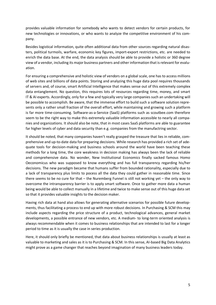provides valuable information for somebody who wants to detect vendors for certain products, for new technologies or innovations, or who wants to analyze the competitive environment of his company.

Besides logistical information, quite often additional data from other sources regarding natural disasters, political turmoils, warfare, economic key figures, import-export restrictions, etc. are needed to enrich the data base. At the end, the data analysis should be able to provide a holistic or 360 degree view of a vendor, including its major business partners and other information that is relevant for evaluation.

For ensuring a comprehensive and holistic view of vendors on a global scale, one has to access millions of web sites and billions of data points. Storing and analyzing this huge data pool requires thousands of servers and, of course, smart Artificial Intelligence that makes sense out of this extremely complex data entanglement. No question, this requires lots of resources regarding time, money, and smart IT & AI experts. Accordingly, only for a few and typically very large companies such an undertaking will be possible to accomplish. Be aware, that the immense effort to build such a software solution represents only a rather small fraction of the overall effort, while maintaining and growing such a platform is far more time-consuming. Software-as-a-Service (SaaS) platforms such as scoutbee.com therefore seem to be the right way to make this extremely valuable information accessible to nearly all companies and organizations. It should also be note, that in most cases SaaS platforms are able to guarantee far higher levels of cyber and data security than e.g. companies from the manufactring sector.

It should be noted, that many companies haven't really grasped the treasure that lies in reliable, comprehensive and up-to-date data for preparing decisions. While research has provided a rich set of adequate tools for decision-making and business schools around the world have been teaching these methods for a long time, the core weakness in decision making has always been the lack of reliable and comprehensive data. No wonder, New Institutional Economics finally sacked famous Homo Oeconomicus who was supposed to know everything and has full transparency regarding his/her decisions. The new paradigm became that humans suffer from bounded rationality, especially due to a lack of transparency plus limits to pocess all the data they could gather in reasonable time. Since there seems to be no cure for that – the Nuremberg Funnel is still not working yet – the only way to overcome the intransparency barrier is to apply smart software. Once to gather more data a human being would be able to collect manually in a lifetime and twice to make sense out of this huge data set so that it provides valuable insights to the decision maker.

Having rich data at hand also allows for generating alternative scenarios for possible future developments, thus facilitating a process to end up with more robust decisions. In Purchasing & SCM this may include aspects regarding the price structure of a product, technological advances, general market developments, a possible entrance of new vendors, etc. A medium- to long-term oriented analysis is always recommendable when it comes to business relationships that are intended to last for a longer period to time as it is usually the case in series production.

Here, it should only briefly be mentioned, that data about business relationships is usually at least as valuable to marketing and sales as it is to Purchasing & SCM. In this sense, AI-based Big Data Analytics might prove as a game changer that reaches beyond imagination of many business leaders today.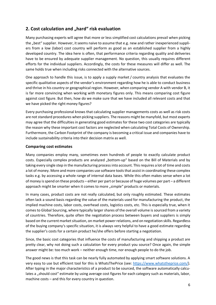## **2. Cost calculation and "hard" risk evaluation**

Many purchasing experts will agree that more or less simplified cost calculations prevail when picking the "best" supplier. However, it seems naive to assume that e.g. new and rather inexperienced suppliers from a low (labor) cost country will perform as good as an established supplier from a highly developed country. The idea here is often, that performance criteria regarding quality and deliveries have to be ensured by adequate supplier management. No question, this usually requires different efforts for the individual suppliers. Accordingly, the costs for these measures will differ as well. The same holds true when including risks connected with the alternative sources.

One approach to handle this issue, is to apply a supply market / country analysis that evaluates the specific qualitative aspects of the vendor's environment regarding how he is able to conduct business and thrive in his country or geographical region. However, when comparing vendor A with vendor B, it is far more convincing when working with monetary figures only. This means comparing cost figure against cost figure. But then, how do we make sure that we have included all relevant costs and that we have picked the right money figures?

Every purchasing professional knows that calculating supplier managements costs as well as risk costs are not standard procedures when picking suppliers. The reasons might be manyfold, but most experts may agree that the difficulties in generating good estimates for these two cost categories are typically the reason why these important cost factors are neglected when calculating Total Costs of Ownership. Furthermore, the Carbon Footprint of the company is becoming a critical issue and companies have to include sustainability criteria into their decision matrix as well.

#### **Comparing cost estimates**

Many companies employ many, sometimes even hundreds of people to exactly calculate product costs. Especially complex products are analyzed "bottom-up" based on the Bill of Materials and by taking every single step in the manufacturing process into account. This requires a lot of time and costs a lot of money. More and more companies use software tools that assist in coordinating these complex tasks e.g. by accessing a whole range of internal data bases. While this often makes sense when a lot of money is spend on these products – either per part or because of huge volumes per part – a different approach might be smarter when it comes to more "simple" products or materials.

In many cases, product costs are not really calculated, but only roughly estimated. These estimates often lack a sound basis regarding the value of the materials used for manufacturing the product, the implied machine costs, labor costs, overhead costs, logistics costs, etc. This is especially true, when it comes to Global Sourcing, where typically larger shares of the overall volume is sourced from a variety of countries. Therefore, quite often the negotiation process between buyers and suppliers is simply based on the current market situation, on market power relations, and on negotiation skills. Regardless of the buying company's specific situation, it is always very helpful to have a good estimate regarding the supplier's costs for a certain product he/she offers before starting a negotiation.

Since, the basic cost categories that influence the costs of manufacturing and shipping a product are pretty clear, why not doing such a calculation for every product you source? Once again, the simple answer might be: too much work – neither enough time, nor enough people to do the job.

The good news is that this task can be nearly fully automated by applying smart software solutions. A very easy to use but efficient tool for this is WhatsThePrice (see: [https://www.whatstheprice.com/\)](https://www.whatstheprice.com/). After typing in the major characteristics of a product to be sourced, the software automatically calculates a "should cost" estimate by using average cost figures for each category such as materials, labor, machine costs – and this for every country in question.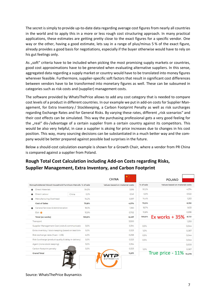The secret is simply to provide up-to-date data regarding average cost figures from nearly all countries in the world and to apply this in a more or less rough cost structuring approach. In many practical applications, these estimates are getting pretty close to the exact figures for a specific vendor. One way or the other, having a good estimate, lets say in a range of plus/minus 5 % of the exact figure, already provides a good basis for negotiations, especially if the buyer otherwise would have to rely on his gut feelings only.

As "soft" criteria have to be included when picking the most promising supply markets or countries, good cost approximations have to be generated when evaluating alternative suppliers. In this sense, aggregated data regarding a supply market or country would have to be translated into money figures wherever feasible. Furthermore, supplier-specific soft factors that result in significant cost differences between vendors have to be transformed into monetary figures as well. These can be subsumed in categories such as risk costs and (supplier) management costs.

The software provided by WhatsThePrice allows to add any cost category that is needed to compare cost levels of a product in different countries. In our example we put in add-on costs for Supplier Management, for Extra Inventory / Stockkeeping, a Carbon Footprint Penalty as well as risk surcharges regarding Exchange Rates and for General Risks. By varying these rates, different "risk scenarios" and their cost effects can be simulated. This way the purchasing professional gets a very good feeling for the "real" dis-/advantage of a certain supplier from a certain country against its competitors. This would be also very helpful, in case a supplier is aksing for price increases due to changes in his cost position. This way, many sourcing decisions can be substantiated in a much better way and the company would be better prepared against possible bad surprises in the future.

Below a should-cost calculation example is shown for a Growth Chair, where a vendor from PR China is compared against a supplier from Poland.

# **Rough Total Cost Calculation including Add-on Costs regarding Risks, Supplier Management, Extra Inventory, and Carbon Footprint**

|                                                          |       |        | <b>CHINA</b>                   |           | POLAND                         |
|----------------------------------------------------------|-------|--------|--------------------------------|-----------|--------------------------------|
| Nonupholstered Wood Household Furniture Manufa % of sale |       |        | Values based on material costs | % of sale | Values based on material costs |
| <b>Direct Materials</b>                                  |       | 54.5%  | 3.516                          | 50.2%     | 4.374                          |
| Direct Labour<br>٠                                       | China | 2.2%   | 0.141                          | 6.0%      | 0.522                          |
| Manufacturing Overhead                                   |       | 14.2%  | 0.917                          | 14,4%     | 1.253                          |
| <b>Cost of Sales</b>                                     |       | 70,8%  | 4,574                          | 70,5%     | 6,150                          |
| <b>General Services &amp; Administration</b>             |       | 18,3%  | 1,180                          | 18,7%     | 1.633                          |
| Ebit <sup>0</sup>                                        |       | 10.9%  | 0.702                          | 10,8%     | 0,938                          |
| <b>Total (ex works)</b>                                  |       | 100,0% | 6,457                          | 100,0%    | Ex works $+35%$<br>8,721       |
| Transport                                                |       |        | 3.500                          |           | 1.250                          |
| Supplier Management Cost (visits & communicatic          |       | 3.0%   | 0.194                          | 0.5%      | 0.044                          |
| Extra inventory / stock keeping (based on lead time      |       | 5.0%   | 0.323                          | 1.0%      | 0.087                          |
| Risk exchange rates (Yuan - US\$)                        |       | 4.0%   | 0.258                          | 0.5%      | 0.044                          |
| Risk Surcharge (product quality & delay in delivery)     |       | 5.0%   | 0.323                          | 0.5%      | 0,044                          |
| Agent (none stock keeping)                               |       | 3.0%   | 0.194                          |           | 0,000                          |
| Carbon footprint penalty                                 |       | 5,0%   | 0,323                          | 1.0%      | 0.087                          |
| <b>Grand Total</b>                                       |       |        | 11,571                         |           | True price $-11\%$ 10,276      |

Source: WhatsThePrice Buynamics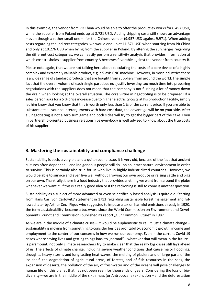In this example, the vendor from PR China would be able to offer the product ex works for 6.457 USD, while the supplier from Poland ends up at 8.721 USD. Adding shipping costs still shows an advantage – even though a rather small one – for the Chinese vendor (9.957 USD against 9.971). When adding costs regarding the indirect categories, we would end up at 11.571 USD when sourcing from PR China and only at 10.276 USD when bying from the supplier in Poland. By altering the surcharges regarding the different cost categories, we can easily perfom a sensitivity analysis that provides information at which cost tresholds a supplier from country A becomes favorable against the vendor from country B.

Please note again, that we are not talking here about calculating the costs of a core device of a highly complex and extremely valuable product, e.g. a 5-axis CNC machine. However, in most industries there is a wide range of standard products that are bought from suppliers from around the world. The simple fact that the overall volume of each single part does not justify investing too much time into preparing negotiations with the suppliers does not mean that the company is not flushing a lot of money down the drain when looking at the overall situation. The core virtue in negotioting is to be prepared! If a sales person asks for a 5 % price increase due to higher electricity costs at his production facility, simply let him know that you know that this is worth only less than 1 % of the current price. If you are able to substantiate all your counterarguments with hard cost data, the advantage will be on your side. After all, negotiating is not a zero sum game and both sides will try to get the bigger part of the cake. Even in partnership-oriented business relationships everybody is well advised to know about the true costs of his supplier.

#### **3. Mastering the sustainability and compliance challenge**

Sustainability is both, a very old and a quite recent issue. It is very old, because of the fact that ancient cultures often depended – and indigeneous people still do –on an intact natural environment in order to survive. This is certainly also true for us who live in highly industrialized countries. However, we would be able to survice and even live well without growing our own produce or raising cattle and pigs on our own. Thankfully, there is a food industry that provides anything we want from around the globe whenever we want it. If this is a really good idea or if the reckoning is still to come is another question.

Sustainability as a subject of more advanced or even scientifically based analysis is quite old. Starting from Hans Carl von Carlowitz' statement in 1713 regarding sustainable forest management and followed later by Arthur Cecil Pigou who suggested to impose a tax on harmful emissions already in 1920, the term ,sustainability' became a buzzword since the World Commission on Environment and Development (Brundtland Commission) published its report "Our Common Future" in 1987.

As we are in the middle of a climate crises – it would be euphemistic to call it just a climate change – sustainablity is moving from something to consider besides profitability, economic growth, income and employment to the center of our concerns in how we run our economy. Even in the current Covid-19 crises where saving lives and getting things back to "normal" – whatever that will mean in the future is paramount, not only climate researchers try to make clear that the really big crises still lays ahead of us. The effects of climate change, including severe weather conditions that cause major floodings, droughts, heavy storms and long lasting heat waves, the melting of glaciers and of large parts of the ice shelf, the degradation of agricultural areas, of forests, and of fish resources in the seas, the expansion of deserts, the pollution of the air, of freshwater and of the oceans will pose challenges to human life on this planet that has not been seen for thousends of years. Considering the loss of biodiversity – we are in the middle of the sixth mass (or Antropocene) extinction – and the deforestation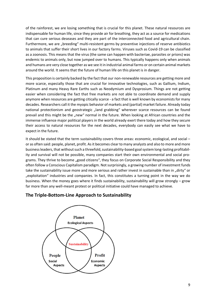of the rainforest, we are losing something that is crucial for this planet. These natural resources are indispensable for human life, since they provide air for breathing, they act as a source for medications that can cure serious deseases and they are part of the interconnected food and agricultural chain. Furthermore, we are "breeding" multi-resistent germs by preventive injections of reserve antibiotics to animals that suffer their short lives in our factory farms. Viruses such as Covid-19 can be classified as a zoonosis. This means that the virus (the same can happen with bacteriae, parasites or prions) was endemic to animals only, but now jumped over to humans. This typically happens only when animals and humans are very close together as we see it in industrial animal farms or on certain animal markets around the world. It seems that the future of human life on this planet is in danger.

This proposition is certainly backed by the fact that our non-renewable resources are getting more and more scarce, especially those that are crucial for innovative technologies, such as Gallium, Indium, Platinum and many Heavy Rare Earths such as Neodymium and Dysprosium. Things are not getting easier when considering the fact that free markets are not able to coordinate demand and supply anymore when resources are getting citically scarce - a fact that is well known by economists for many decades. Researchers call it the myopic behavior of markets and (partial) market failure. Already today national protectionism and geostrategic "land grabbing" wherever scarce resources can be found prevail and this might be the "new" normal in the future. When looking at African countries and the immense influence major political players in the world already exert there today and how they secure their access to natural resources for the next decades, everybody can easily see what we have to expect in the future.

It should be stated that the term sustainability covers three areas: economic, ecological, and social – or as often said: people, planet, profit. As it becomes clear to many analysts and also to more and more business leaders, that without such a threefold, sustainability-based goal system long-lasting profitability and survival will not be possible, many companies start their own environmental and social programs. They thrive to become "good citizens", they focus on Corporate Social Responsibility and they often follow a Conscious Capitalism paradigm. Not surprisingly, a growing number of investment funds take the sustainability issue more and more serious and rather invest in sustainable than in "dirty" or "exploitation" industries and companies. In fact, this constitutes a turning point in the way we do business. When the money goes where it finds sustainability, sustainability will grow strongly – grow far more than any well-meant protest or political initiative could have managed to achieve.

#### **The Triple-Bottom-Line Approach to Sustainability**

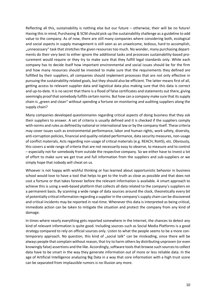Reflecting all this, sustainability is nothing else but our future – otherwise, their will be no future! Having this in mind, Purchasing & SCM should pick up the sustainability challenge as a guideline to add value to the company. As of now, there are still many companies where considering both, ecological and social aspects in supply management is still seen as an unwelcome, tedious, hard to accomplish, "unnecessary" task that stretches the given resources too much. No wonder, many purchasing departments do their very best to either ignore the additional tasks and processes sustainability-based procurement would require or they try to make sure that they fulfill legal standards only. While each company has to decide itself how important environmental and social issues should be for the firm and how many resources should be invested to make sure that the requirements they defined are fulfilled by their suppliers, all companies should implement processes that are not only effective in pursuing the sustainability-related goals, but they should also be efficient. The latter means first of all, getting access to relevant supplier data and logistical data plus making sure that this data is correct and up-to-date. It is no secret that there is a flood of false certificates and statements out there, giving seemingly proof that somebody fulfills certain norms. But how can a company make sure that its supply chain is "green and clean" without spending a fortune on monitoring and auditing suppliers along the supply chain?

Many companies developed questionnaires regarding critical aspects of doing business that they ask their suppliers to answer. A set of criteria is usually defined and it is checked if the suppliers comply with norms and rules as defined by national or international law or by the company itself. These criteria may cover issues such as environmental performance, labor and human rights, work safety, diversity, anti-corruption policies, financial and quality-related performance, data security measures, non-usage of conflict materials, Acts regarding non-usage of critical materials (e.g. REACH, RoHS), etc. Obviously, this covers a wide range of criteria that are not necessarily easy to observe, to measure and to control – especially not for somebody from outside the respective company. So we either have to invest a lot of effort to make sure we get true and full information from the suppliers and sub-suppliers or we simply hope that nobody will cheat on us.

Whoever is not happy with wishful thinking or has learned about opportunistic behavior in business school would love to have a tool that helps to get to the truth as close as possible and that does not cost a fortune or that takes forever before the relevant information is available. A smart approach to achieve this is using a web-based platform that collects all data related to the company's suppliers on a permanent basis. By scanning a wide range of data sources around the clock, theoretically every bit of potentially critical information regarding a supplier in the company's supply chain can be discovered and critical incidents may be reported in real-time. Whenever this data is interpreted as being critical, immediate action can be taken to mitigate the situation and protect the company from any kind of damage.

In times where nearly everything gets reported somewhere in the Internet, the chances to detect any kind of relevant information is quite good. Including sources such as Social Media Platforms is a good strategy compared to rely on official sources only. Listen to what the people seems to be a more contemporary approach. No question, this kind of "social talk" can be misleading, since there will be always people that complain without reason, that try to harm others by distributing unproven (or even knowingly false) assertions and the like. Accordingly, software tools that browse such sources to collect data have to be smart in the way they generate information out of more or less reliable data. In the age of Artificial Intelligence analyzing Big Data in a way that core information with a high trust score can be separated from implausible rumors is no illusion any more.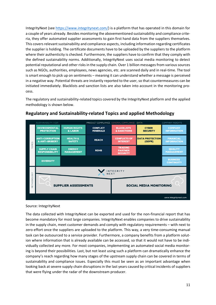IntegrityNext (see [https://www.integritynext.com/\)](https://www.integritynext.com/) is a platform that has operated in this domain for a couple of years already. Besides monitoring the abovementioned sustainability and compliance criteria, they offer automated supplier assessments to gain first hand data from the suppliers themselves. This covers relevant sustainability and compliance aspects, including information regarding certificates the supplier is holding. The certificate documents have to be uploaded by the suppliers to the platform where their authenticity is checked. Furthermore, the suppliers have to confirm that they comply with the defined sustainability norms. Additionally, IntegrityNext uses social media monitoring to detect potential reputational and other risks in the supply chain. Over 1 billion messages from various sources such as NGOs, authorities, employees, news agencies, etc. are scanned daily and in real-time. The tool is smart enough to pick up on sentiments – meaning it can understand whether a message is perceived in a negative way. Potential threats are instantly reported to the user, so that countermeasures can be initiated immediately. Blacklists and sanction lists are also taken into account in the monitoring process.

The regulatory and sustainability-related topics covered by the IntegrityNext platform and the applied methodology is shown below.



#### **Regulatory and Sustainability-related Topics and applied Methodology**

#### Source: IntegrityNext

The data collected with IntegrityNext can be exported and used for the non-financial report that has become mandatory for most large companies. IntegrityNext enables companies to drive sustainability in the supply chain, meet customer demands and comply with regulatory requirements – with next to zero effort once the suppliers are uploaded to the platform. This way, a very time-consuming manual task can be outsourced to a service provider. Furthermore, a company benefits from a platform solution where information that is already available can be accessed, so that it would not have to be individually collected any more. For most companies, implementing an automated social media monitoring is beyond their possibilities. Last, but not least using such a platform can dramatically enhance the company's reach regarding how many stages of the upstream supply chain can be covered in terms of sustainability and compliance issues. Especially this must be seen as an important advantage when looking back at severe supply chain disruptions in the last years caused by critical incidents of suppliers that were flying under the radar of the downstream producer.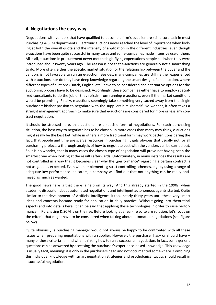#### **4. Negotiations the easy way**

Negotiations with vendors that have qualified to become a firm's supplier are still a core task in most Purchasing & SCM departments. Electronic auctions never reached the level of importance when looking at both the overall quota and the intensity of application in the different industries, even though e-auctions have been quite successful in many cases and some companies made intensive use of them. All in all, e-auctions in procurement never met the high-flying expectations people had when they were introduced about twenty years ago. The reason is not that e-auctions are generally not a smart thing to do. More often, either the specific market situation or the relationship between the buyer and the vendors is not favorable to run an e-auction. Besides, many companies are still neither experienced with e-auctions, nor do they have deep knowledge regarding the smart design of an e-auction, where different types of auctions (Dutch, English, etc.) have to be considered and alternative options for the auctioning process have to be designed. Accordingly, these companies either have to employ specialized consultants to do the job or they refrain from running e-auctions, even if the market conditions would be promising. Finally, e-auctions seemingly take something very sacred away from the single purchaser: his/her passion to negotiate with the suppliers him-/herself. No wonder, it often takes a straight management approach to make sure that e-auctions are considered for more or less any contract negotiation.

It should be stressed here, that auctions are a specific form of negotiations. For each purchasing situation, the best way to negotiate has to be chosen. In more cases than many may think, e-auctions might really be the best bet, while in others a more traditonal form may work better. Considering the fact, that people and time are scarce resources in purchasing, it gets obvious that usually not for all purchasing projects a thorough analysis of how to negotiate best with the vendors can be carried out. So it is no wonder, that in many cases the chosen type of negotiation will prove not having been the smartest one when looking at the results afterwards. Unfortunately, in many instances the results are not controlled in a way that it becomes clear why the "performance" regarding a certain contract is not as good as expected. Even when implementing strict controlling schemes, e.g. by using a range of adequate key performance indicators, a company will find out that not anything can be really optimized as much as wanted.

The good news here is that there is help on its way! And this already started in the 1990s, when academic discussion about automated negotiations and intelligent autonomous agents started. Quite similar to the development of Artificial Intelligence it took nearly thirty years until these very smart ideas and concepts became ready for application in daily practice. Without going into theoretical aspects and into details here, it can be said that applying these technologies in order to raise performance in Purchasing & SCM is on the rise. Before looking at a real-life software solution, let's focus on the criteria that might have to be considered when talking about automated negotiations (see figure below).

Quite obviously, a purchasing manager would not always be happy to be confronted with all these issues when preparing negotiations with a supplier. However, the purchaser has– or should have – many of these criteria in mind when thinking how to run a successful negotiation. In fact, some generic questions can be answered by accessing the purchaser's experience-based knowledge. This knowledge is usually tacit, meaning: it is only in the purchasers head and not documented somewhere. Combining this individual knowledge with smart negotiation strategies and psychological tactics should result in a successful negotiation.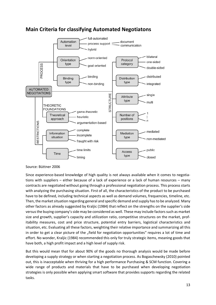

## **Main Criteria for classifying Automated Negotiatons**

Source: Büttner 2006

Since experience-based knowledge of high quality is not always available when it comes to negotiations with suppliers – either because of a lack of experience or a lack of human resources – many contracts are negotiated without going through a professional negotiation process. This process starts with analyzing the purchasing situation. First of all, the characteristics of the product to be purchased have to be defined, including technical aspects as well as demand volumes, frequencies, timeline, etc. Then, the market situation regarding general and specific demand and supply has to be analyzed. Many other factors as already suggested by Kraljic (1984) that reflect on the strengths on the supplier's side versus the buying company's side may be considered as well. These may include factors such as market size and growth, supplier's capacity and utilization ratio, competitive structures on the market, profitability measures, cost and price structure, potential entry barriers, logistical characteristics and situation, etc. Evaluating all these factors, weighting their relative importance and summarizing all this in order to get a clear picture of the "field for negotiation opportunities" requires a lot of time and effort. No wonder, Kraljic (1984) recommended this only for truly strategic items, meaning goods that have both, a high profit impact and a high level of supply risk.

But this would mean that for about 90% of the goods no thorough analysis would be made before developing a supply strategy or when starting a negotiation process. As Bogaschewsky (2010) pointed out, this is inacceptable when thriving for a high performance Purchasing & SCM function. Covering a wide range of products and materials that have to be purchased when developing negotiation strategies is only possible when applying smart software that provides supports regarding the related tasks.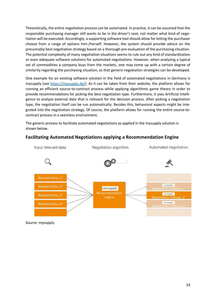Theoretically, the entire negotiation process can be automated. In practice, it can be assumed that the responsible purchasing manager still wants to be in the driver's seat, not matter what kind of negotiation will be executed. Accordingly, a supporting software tool should allow for letting the purchaser choose from a range of options him-/herself. However, the system should provide advice on the presumably best negotiation strategy based on a thorough pre-evaluation of the purchasing situation. The potential complexity of many negotiation situations seems to rule out any kind of standardization or even adequate software solutions for automated negotiations. However, when analyzing a typical set of commodities a company buys from the markets, one may come up with a certain degree of similarity regarding the purchasing situation, so that generic negotiation strategies can be developed.

One example for an existing software solution in the field of automated negotiations in Germany is mysupply (see [https://mysupply.de/\)](https://mysupply.de/). As it can be taken from their website, the platform allows for running an efficient source-to-contract process while applying algorithmic game theory in order to provide recommendations for picking the best negotiation type. Furthermore, it uses Artificial Intelligence to analyze external data that is relevant for the decision process. After picking a negotiation type, the negotiation itself can be run automatically. Besides this, behavioral aspects might be integrated into the negotiation strategy. Of course, the platform allows for running the entire source-tocontract process in a seemless environment.

The generic process to facilitate automated negotiations as applied in the mysupply solution is shown below.

## **Facilitating Automated Negotiations applying a Recommendation Engine**



Source: mysupply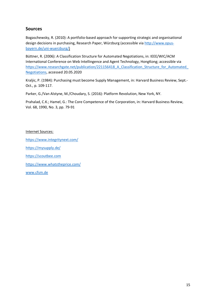#### **Sources**

Bogaschewsky, R. (2010): A portfolio-based approach for supporting strategic and organisational design decisions in purchasing, Research Paper, Würzburg (accessible via [http://www.opus](http://www.opus-bayern.de/uni-wuerzburg/)[bayern.de/uni-wuerzburg/\)](http://www.opus-bayern.de/uni-wuerzburg/)

Büttner, R. (2006): A Classification Structure for Automated Negotiations, in: IEEE/WIC/ACM International Conference on Web Intellingence and Agent Technology, HongKong; accessible via https://www.researchgate.net/publication/221156418 A Classification Structure for Automated [Negotiations,](https://www.researchgate.net/publication/221156418_A_Classification_Structure_for_Automated_Negotiations) accessed 20.05.2020

Kraljic, P. (1984): Purchasing must become Supply Management, in: Harvard Business Review, Sept.- Oct., p. 109-117.

Parker, G./Van Alstyne, M./Choudary, S. (2016): Platform Revolution, New York, NY.

Prahalad, C.K.; Hamel, G.: The Core Competence of the Corporation, in: Harvard Business Review, Vol. 68, 1990, No. 3, pp. 79-91

Internet Sources:

<https://www.integritynext.com/>

<https://mysupply.de/>

[https://scoutbee.com](https://scoutbee.com/)

<https://www.whatstheprice.com/>

[www.cfsm.de](http://www.cfsm.de/)